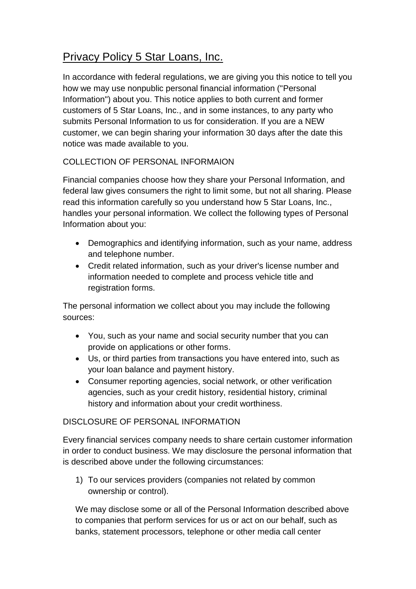## Privacy Policy 5 Star Loans, Inc.

In accordance with federal regulations, we are giving you this notice to tell you how we may use nonpublic personal financial information ("Personal Information") about you. This notice applies to both current and former customers of 5 Star Loans, Inc., and in some instances, to any party who submits Personal Information to us for consideration. If you are a NEW customer, we can begin sharing your information 30 days after the date this notice was made available to you.

## COLLECTION OF PERSONAL INFORMAION

Financial companies choose how they share your Personal Information, and federal law gives consumers the right to limit some, but not all sharing. Please read this information carefully so you understand how 5 Star Loans, Inc., handles your personal information. We collect the following types of Personal Information about you:

- Demographics and identifying information, such as your name, address and telephone number.
- Credit related information, such as your driver's license number and information needed to complete and process vehicle title and registration forms.

The personal information we collect about you may include the following sources:

- You, such as your name and social security number that you can provide on applications or other forms.
- Us, or third parties from transactions you have entered into, such as your loan balance and payment history.
- Consumer reporting agencies, social network, or other verification agencies, such as your credit history, residential history, criminal history and information about your credit worthiness.

## DISCLOSURE OF PERSONAL INFORMATION

Every financial services company needs to share certain customer information in order to conduct business. We may disclosure the personal information that is described above under the following circumstances:

1) To our services providers (companies not related by common ownership or control).

We may disclose some or all of the Personal Information described above to companies that perform services for us or act on our behalf, such as banks, statement processors, telephone or other media call center